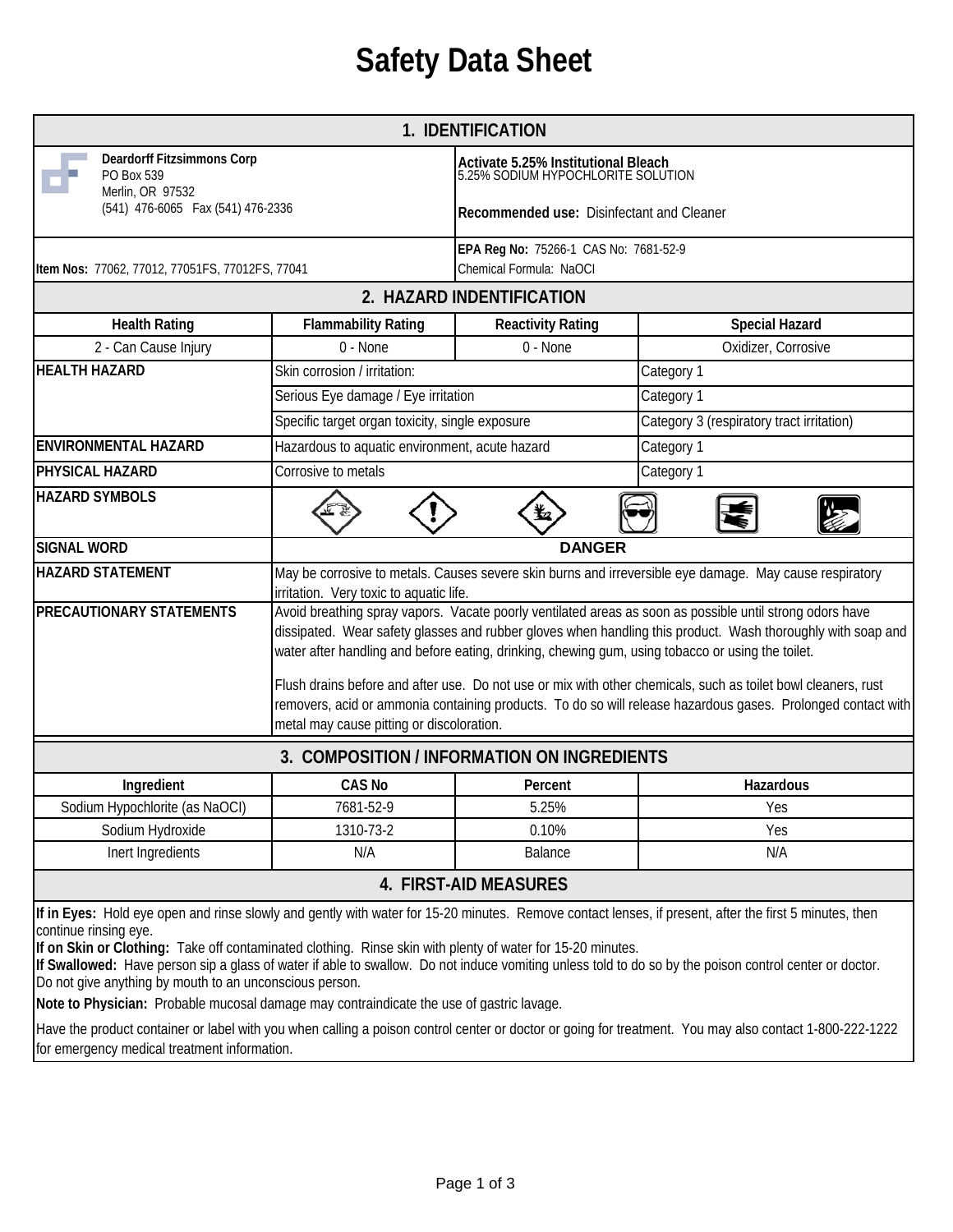## **Safety Data Sheet**

|                                                                                                                                                                                                                                                                                            |                                                                                                                                                                                                                                                                                                                              | 1. IDENTIFICATION                                                         |                                                                                                                                                                                                                                                                                                                  |  |
|--------------------------------------------------------------------------------------------------------------------------------------------------------------------------------------------------------------------------------------------------------------------------------------------|------------------------------------------------------------------------------------------------------------------------------------------------------------------------------------------------------------------------------------------------------------------------------------------------------------------------------|---------------------------------------------------------------------------|------------------------------------------------------------------------------------------------------------------------------------------------------------------------------------------------------------------------------------------------------------------------------------------------------------------|--|
| <b>Deardorff Fitzsimmons Corp</b><br>PO Box 539                                                                                                                                                                                                                                            |                                                                                                                                                                                                                                                                                                                              | Activate 5.25% Institutional Bleach<br>5.25% SODIUM HYPOCHLORITE SOLUTION |                                                                                                                                                                                                                                                                                                                  |  |
| Merlin, OR 97532<br>(541) 476-6065 Fax (541) 476-2336                                                                                                                                                                                                                                      |                                                                                                                                                                                                                                                                                                                              | Recommended use: Disinfectant and Cleaner                                 |                                                                                                                                                                                                                                                                                                                  |  |
| Item Nos: 77062, 77012, 77051FS, 77012FS, 77041                                                                                                                                                                                                                                            |                                                                                                                                                                                                                                                                                                                              | EPA Reg No: 75266-1 CAS No: 7681-52-9<br>Chemical Formula: NaOCI          |                                                                                                                                                                                                                                                                                                                  |  |
|                                                                                                                                                                                                                                                                                            |                                                                                                                                                                                                                                                                                                                              | 2. HAZARD INDENTIFICATION                                                 |                                                                                                                                                                                                                                                                                                                  |  |
| <b>Health Rating</b>                                                                                                                                                                                                                                                                       | <b>Flammability Rating</b>                                                                                                                                                                                                                                                                                                   | <b>Reactivity Rating</b>                                                  | <b>Special Hazard</b>                                                                                                                                                                                                                                                                                            |  |
| 2 - Can Cause Injury                                                                                                                                                                                                                                                                       | 0 - None                                                                                                                                                                                                                                                                                                                     | 0 - None                                                                  | Oxidizer, Corrosive                                                                                                                                                                                                                                                                                              |  |
| <b>HEALTH HAZARD</b>                                                                                                                                                                                                                                                                       | Skin corrosion / irritation:                                                                                                                                                                                                                                                                                                 |                                                                           | Category 1                                                                                                                                                                                                                                                                                                       |  |
|                                                                                                                                                                                                                                                                                            | Serious Eye damage / Eye irritation                                                                                                                                                                                                                                                                                          |                                                                           | Category 1                                                                                                                                                                                                                                                                                                       |  |
|                                                                                                                                                                                                                                                                                            | Specific target organ toxicity, single exposure                                                                                                                                                                                                                                                                              |                                                                           | Category 3 (respiratory tract irritation)                                                                                                                                                                                                                                                                        |  |
| <b>ENVIRONMENTAL HAZARD</b>                                                                                                                                                                                                                                                                | Hazardous to aquatic environment, acute hazard                                                                                                                                                                                                                                                                               |                                                                           | Category 1                                                                                                                                                                                                                                                                                                       |  |
| PHYSICAL HAZARD                                                                                                                                                                                                                                                                            | Corrosive to metals                                                                                                                                                                                                                                                                                                          |                                                                           | Category 1                                                                                                                                                                                                                                                                                                       |  |
| <b>HAZARD SYMBOLS</b>                                                                                                                                                                                                                                                                      |                                                                                                                                                                                                                                                                                                                              |                                                                           |                                                                                                                                                                                                                                                                                                                  |  |
| <b>SIGNAL WORD</b>                                                                                                                                                                                                                                                                         | <b>DANGER</b>                                                                                                                                                                                                                                                                                                                |                                                                           |                                                                                                                                                                                                                                                                                                                  |  |
| <b>HAZARD STATEMENT</b>                                                                                                                                                                                                                                                                    | May be corrosive to metals. Causes severe skin burns and irreversible eye damage. May cause respiratory<br>irritation. Very toxic to aquatic life.                                                                                                                                                                           |                                                                           |                                                                                                                                                                                                                                                                                                                  |  |
| <b>PRECAUTIONARY STATEMENTS</b>                                                                                                                                                                                                                                                            | Avoid breathing spray vapors. Vacate poorly ventilated areas as soon as possible until strong odors have<br>dissipated. Wear safety glasses and rubber gloves when handling this product. Wash thoroughly with soap and<br>water after handling and before eating, drinking, chewing gum, using tobacco or using the toilet. |                                                                           |                                                                                                                                                                                                                                                                                                                  |  |
|                                                                                                                                                                                                                                                                                            | Flush drains before and after use. Do not use or mix with other chemicals, such as toilet bowl cleaners, rust<br>removers, acid or ammonia containing products. To do so will release hazardous gases. Prolonged contact with<br>metal may cause pitting or discoloration.                                                   |                                                                           |                                                                                                                                                                                                                                                                                                                  |  |
| 3. COMPOSITION / INFORMATION ON INGREDIENTS                                                                                                                                                                                                                                                |                                                                                                                                                                                                                                                                                                                              |                                                                           |                                                                                                                                                                                                                                                                                                                  |  |
| Ingredient                                                                                                                                                                                                                                                                                 | <b>CAS No</b>                                                                                                                                                                                                                                                                                                                | Percent                                                                   | Hazardous                                                                                                                                                                                                                                                                                                        |  |
| Sodium Hypochlorite (as NaOCI)                                                                                                                                                                                                                                                             | 7681-52-9                                                                                                                                                                                                                                                                                                                    | 5.25%                                                                     | Yes                                                                                                                                                                                                                                                                                                              |  |
| Sodium Hydroxide                                                                                                                                                                                                                                                                           | 1310-73-2                                                                                                                                                                                                                                                                                                                    | 0.10%                                                                     | Yes                                                                                                                                                                                                                                                                                                              |  |
| Inert Ingredients                                                                                                                                                                                                                                                                          | N/A                                                                                                                                                                                                                                                                                                                          | Balance                                                                   | N/A                                                                                                                                                                                                                                                                                                              |  |
|                                                                                                                                                                                                                                                                                            |                                                                                                                                                                                                                                                                                                                              | 4. FIRST-AID MEASURES                                                     |                                                                                                                                                                                                                                                                                                                  |  |
| continue rinsing eye.<br>If on Skin or Clothing: Take off contaminated clothing. Rinse skin with plenty of water for 15-20 minutes.<br>Do not give anything by mouth to an unconscious person.<br>Note to Physician: Probable mucosal damage may contraindicate the use of gastric lavage. |                                                                                                                                                                                                                                                                                                                              |                                                                           | If in Eyes: Hold eye open and rinse slowly and gently with water for 15-20 minutes. Remove contact lenses, if present, after the first 5 minutes, then<br>If Swallowed: Have person sip a glass of water if able to swallow. Do not induce vomiting unless told to do so by the poison control center or doctor. |  |

Have the product container or label with you when calling a poison control center or doctor or going for treatment. You may also contact 1-800-222-1222 for emergency medical treatment information.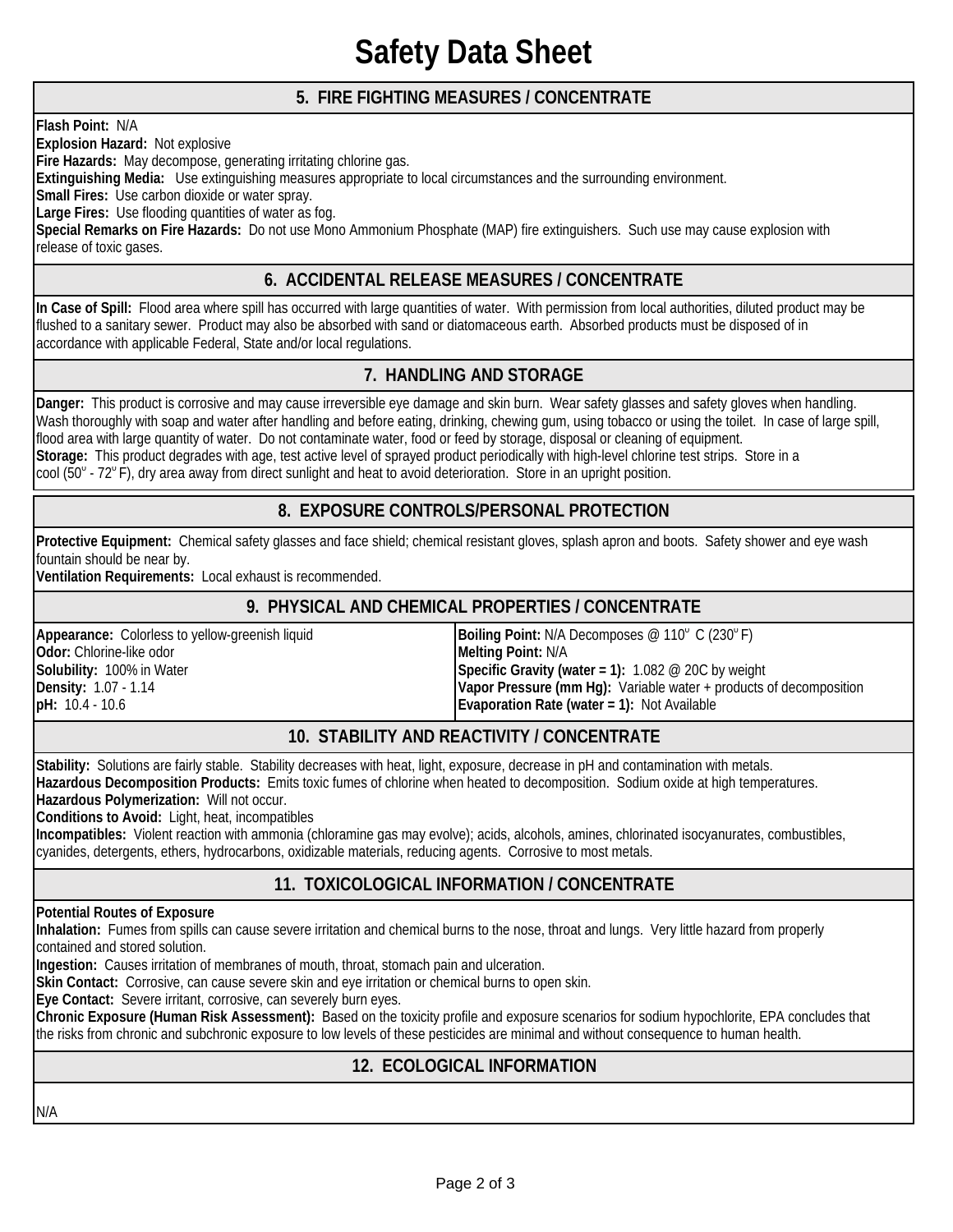### **Safety Data Sheet**

#### **5. FIRE FIGHTING MEASURES / CONCENTRATE**

**Flash Point:** N/A

**Explosion Hazard:** Not explosive

**Fire Hazards:** May decompose, generating irritating chlorine gas.

**Extinguishing Media:** Use extinguishing measures appropriate to local circumstances and the surrounding environment.

**Small Fires:** Use carbon dioxide or water spray.

**Large Fires:** Use flooding quantities of water as fog.

**Special Remarks on Fire Hazards:** Do not use Mono Ammonium Phosphate (MAP) fire extinguishers. Such use may cause explosion with release of toxic gases.

#### **6. ACCIDENTAL RELEASE MEASURES / CONCENTRATE**

**In Case of Spill:** Flood area where spill has occurred with large quantities of water. With permission from local authorities, diluted product may be flushed to a sanitary sewer. Product may also be absorbed with sand or diatomaceous earth. Absorbed products must be disposed of in accordance with applicable Federal, State and/or local regulations.

#### **7. HANDLING AND STORAGE**

**Danger:** This product is corrosive and may cause irreversible eye damage and skin burn. Wear safety glasses and safety gloves when handling. Wash thoroughly with soap and water after handling and before eating, drinking, chewing gum, using tobacco or using the toilet. In case of large spill, flood area with large quantity of water. Do not contaminate water, food or feed by storage, disposal or cleaning of equipment. **Storage:** This product degrades with age, test active level of sprayed product periodically with high-level chlorine test strips. Store in a cool ( $50^\circ$  - 72 $^\circ$  F), dry area away from direct sunlight and heat to avoid deterioration. Store in an upright position.

#### **8. EXPOSURE CONTROLS/PERSONAL PROTECTION**

**Protective Equipment:** Chemical safety glasses and face shield; chemical resistant gloves, splash apron and boots. Safety shower and eye wash fountain should be near by.

**Ventilation Requirements:** Local exhaust is recommended.

#### **9. PHYSICAL AND CHEMICAL PROPERTIES / CONCENTRATE**

**Solubility:** 100% in Water **pH:** 10.4 - 10.6 Appearance: Colorless to yellow-greenish liquid **Appearance: <b>Appearance: Colorless** to yellow-greenish liquid F<br>Odor: Chlorine-like odor **Apple 2009** Melting Point: N/A **Density:** 1.07 - 1.14 **Odor: Chlorine-like odor** 

**Vapor Pressure (mm Hg):** Variable water + products of decomposition **Evaporation Rate (water = 1):** Not Available **Specific Gravity (water = 1):** 1.082 @ 20C by weight

#### **10. STABILITY AND REACTIVITY / CONCENTRATE**

**Stability:** Solutions are fairly stable. Stability decreases with heat, light, exposure, decrease in pH and contamination with metals.

**Hazardous Decomposition Products:** Emits toxic fumes of chlorine when heated to decomposition. Sodium oxide at high temperatures.

**Hazardous Polymerization:** Will not occur.

**Conditions to Avoid:** Light, heat, incompatibles

cyanides, detergents, ethers, hydrocarbons, oxidizable materials, reducing agents. Corrosive to most metals. **Incompatibles:** Violent reaction with ammonia (chloramine gas may evolve); acids, alcohols, amines, chlorinated isocyanurates, combustibles,

#### **11. TOXICOLOGICAL INFORMATION / CONCENTRATE**

**Potential Routes of Exposure** 

**Inhalation:** Fumes from spills can cause severe irritation and chemical burns to the nose, throat and lungs. Very little hazard from properly contained and stored solution.

**Ingestion:** Causes irritation of membranes of mouth, throat, stomach pain and ulceration.

**Skin Contact:** Corrosive, can cause severe skin and eye irritation or chemical burns to open skin.

**Eye Contact:** Severe irritant, corrosive, can severely burn eyes.

the risks from chronic and subchronic exposure to low levels of these pesticides are minimal and without consequence to human health. **Chronic Exposure (Human Risk Assessment):** Based on the toxicity profile and exposure scenarios for sodium hypochlorite, EPA concludes that

#### **12. ECOLOGICAL INFORMATION**

N/A